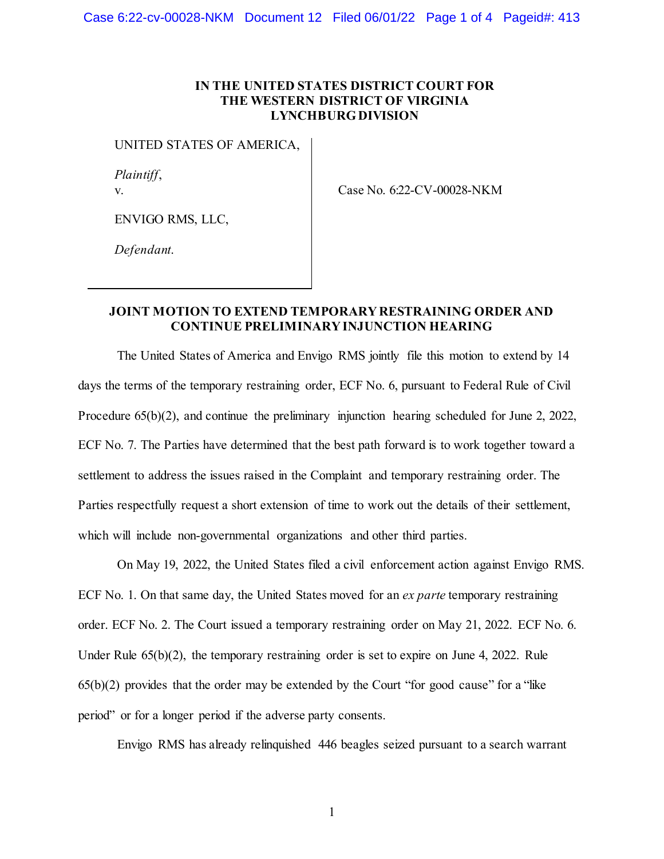## **IN THE UNITED STATES DISTRICT COURT FOR THE WESTERN DISTRICT OF VIRGINIA LYNCHBURG DIVISION**

UNITED STATES OF AMERICA,

*Plaintiff*, v.

Case No. 6:22-CV-00028-NKM

ENVIGO RMS, LLC,

*Defendant*.

## **JOINT MOTION TO EXTEND TEMPORARY RESTRAINING ORDER AND CONTINUE PRELIMINARY INJUNCTION HEARING**

The United States of America and Envigo RMS jointly file this motion to extend by 14 days the terms of the temporary restraining order, ECF No. 6, pursuant to Federal Rule of Civil Procedure 65(b)(2), and continue the preliminary injunction hearing scheduled for June 2, 2022, ECF No. 7. The Parties have determined that the best path forward is to work together toward a settlement to address the issues raised in the Complaint and temporary restraining order. The Parties respectfully request a short extension of time to work out the details of their settlement, which will include non-governmental organizations and other third parties.

On May 19, 2022, the United States filed a civil enforcement action against Envigo RMS. ECF No. 1. On that same day, the United States moved for an *ex parte* temporary restraining order. ECF No. 2. The Court issued a temporary restraining order on May 21, 2022. ECF No. 6. Under Rule 65(b)(2), the temporary restraining order is set to expire on June 4, 2022. Rule  $65(b)(2)$  provides that the order may be extended by the Court "for good cause" for a "like" period" or for a longer period if the adverse party consents.

Envigo RMS has already relinquished 446 beagles seized pursuant to a search warrant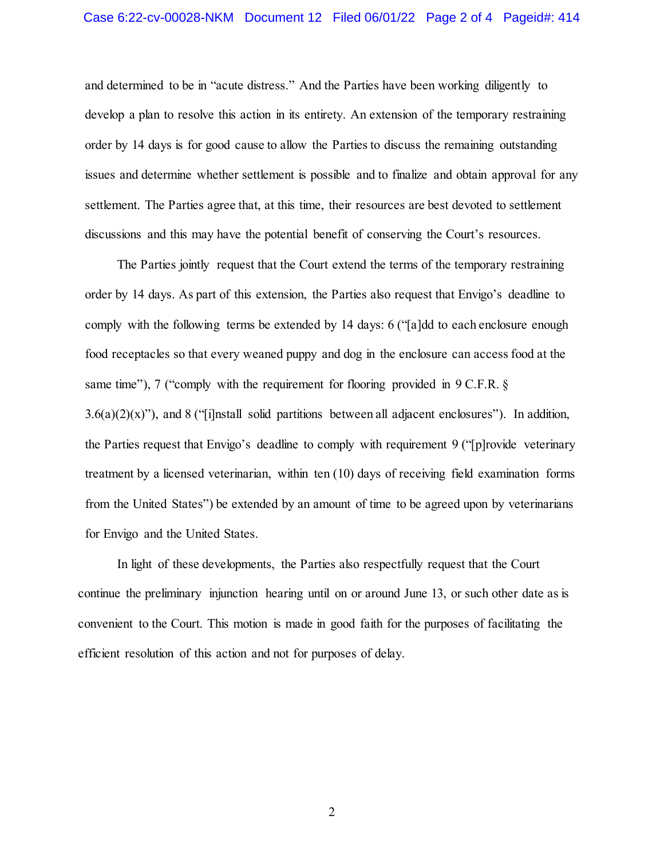and determined to be in "acute distress." And the Parties have been working diligently to develop a plan to resolve this action in its entirety. An extension of the temporary restraining order by 14 days is for good cause to allow the Parties to discuss the remaining outstanding issues and determine whether settlement is possible and to finalize and obtain approval for any settlement. The Parties agree that, at this time, their resources are best devoted to settlement discussions and this may have the potential benefit of conserving the Court's resources.

The Parties jointly request that the Court extend the terms of the temporary restraining order by 14 days. As part of this extension, the Parties also request that Envigo's deadline to comply with the following terms be extended by 14 days: 6 ("[a]dd to each enclosure enough food receptacles so that every weaned puppy and dog in the enclosure can access food at the same time"), 7 ("comply with the requirement for flooring provided in 9 C.F.R. §  $3.6(a)(2)(x)$ "), and 8 ("[i]nstall solid partitions between all adjacent enclosures"). In addition, the Parties request that Envigo's deadline to comply with requirement 9 ("[p]rovide veterinary treatment by a licensed veterinarian, within ten (10) days of receiving field examination forms from the United States") be extended by an amount of time to be agreed upon by veterinarians for Envigo and the United States.

In light of these developments, the Parties also respectfully request that the Court continue the preliminary injunction hearing until on or around June 13, or such other date as is convenient to the Court. This motion is made in good faith for the purposes of facilitating the efficient resolution of this action and not for purposes of delay.

2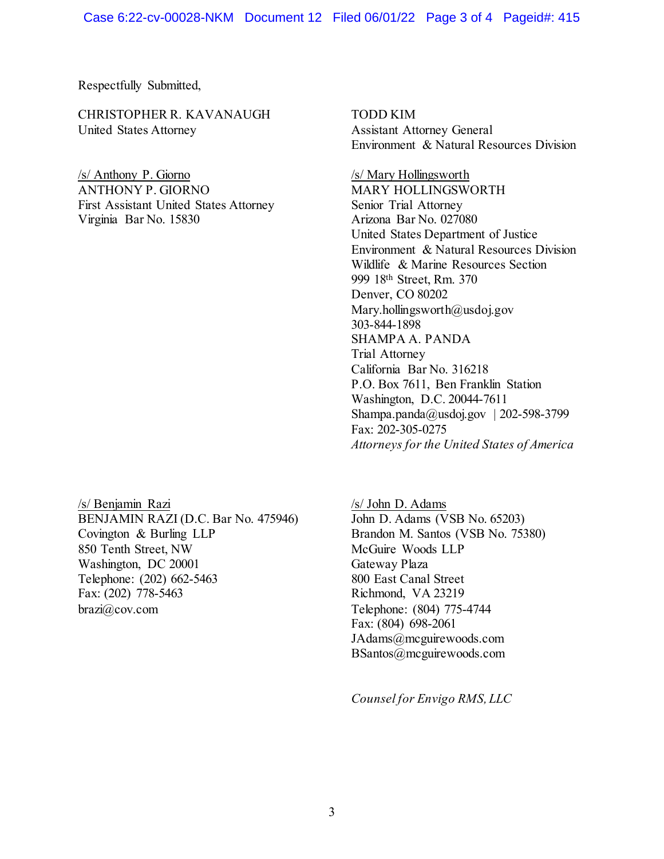Respectfully Submitted,

CHRISTOPHER R. KAVANAUGH TODD KIM United States Attorney Assistant Attorney General

/s/ Anthony P. Giorno /s/ Mary Hollingsworth ANTHONY P. GIORNO MARY HOLLINGSWORTH First Assistant United States Attorney Senior Trial Attorney Virginia Bar No. 15830 Arizona Bar No. 027080

/s/ Benjamin Razi /s/ John D. Adams BENJAMIN RAZI (D.C. Bar No. 475946) John D. Adams (VSB No. 65203) Covington & Burling LLP Brandon M. Santos (VSB No. 75380) 850 Tenth Street, NW McGuire Woods LLP Washington, DC 20001 Gateway Plaza Telephone: (202) 662-5463 800 East Canal Street Fax: (202) 778-5463 Richmond, VA 23219 brazi $\hat{a}$ , cov.com Telephone: (804) 775-4744

Environment & Natural Resources Division

United States Department of Justice Environment & Natural Resources Division Wildlife & Marine Resources Section 999 18th Street, Rm. 370 Denver, CO 80202 Mary.hollingsworth@usdoj.gov 303-844-1898 SHAMPA A. PANDA Trial Attorney California Bar No. 316218 P.O. Box 7611, Ben Franklin Station Washington, D.C. 20044-7611 Shampa.panda@usdoj.gov | 202-598-3799 Fax: 202-305-0275 *Attorneys for the United States of America*

Fax: (804) 698-2061 JAdams@mcguirewoods.com BSantos@mcguirewoods.com

 *Counsel for Envigo RMS, LLC*